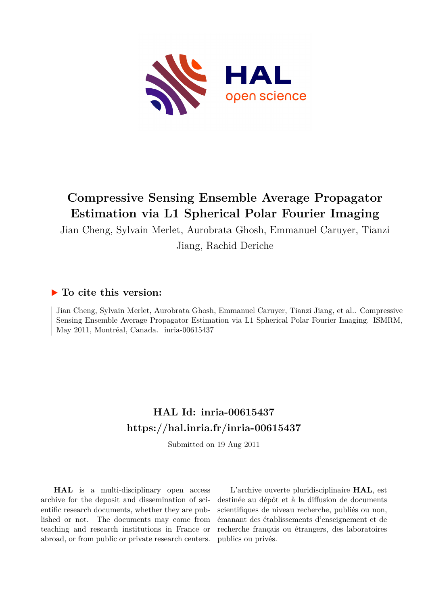

# **Compressive Sensing Ensemble Average Propagator Estimation via L1 Spherical Polar Fourier Imaging**

Jian Cheng, Sylvain Merlet, Aurobrata Ghosh, Emmanuel Caruyer, Tianzi

Jiang, Rachid Deriche

### **To cite this version:**

Jian Cheng, Sylvain Merlet, Aurobrata Ghosh, Emmanuel Caruyer, Tianzi Jiang, et al.. Compressive Sensing Ensemble Average Propagator Estimation via L1 Spherical Polar Fourier Imaging. ISMRM, May 2011, Montréal, Canada. inria-00615437

## **HAL Id: inria-00615437 <https://hal.inria.fr/inria-00615437>**

Submitted on 19 Aug 2011

**HAL** is a multi-disciplinary open access archive for the deposit and dissemination of scientific research documents, whether they are published or not. The documents may come from teaching and research institutions in France or abroad, or from public or private research centers.

L'archive ouverte pluridisciplinaire **HAL**, est destinée au dépôt et à la diffusion de documents scientifiques de niveau recherche, publiés ou non, émanant des établissements d'enseignement et de recherche français ou étrangers, des laboratoires publics ou privés.